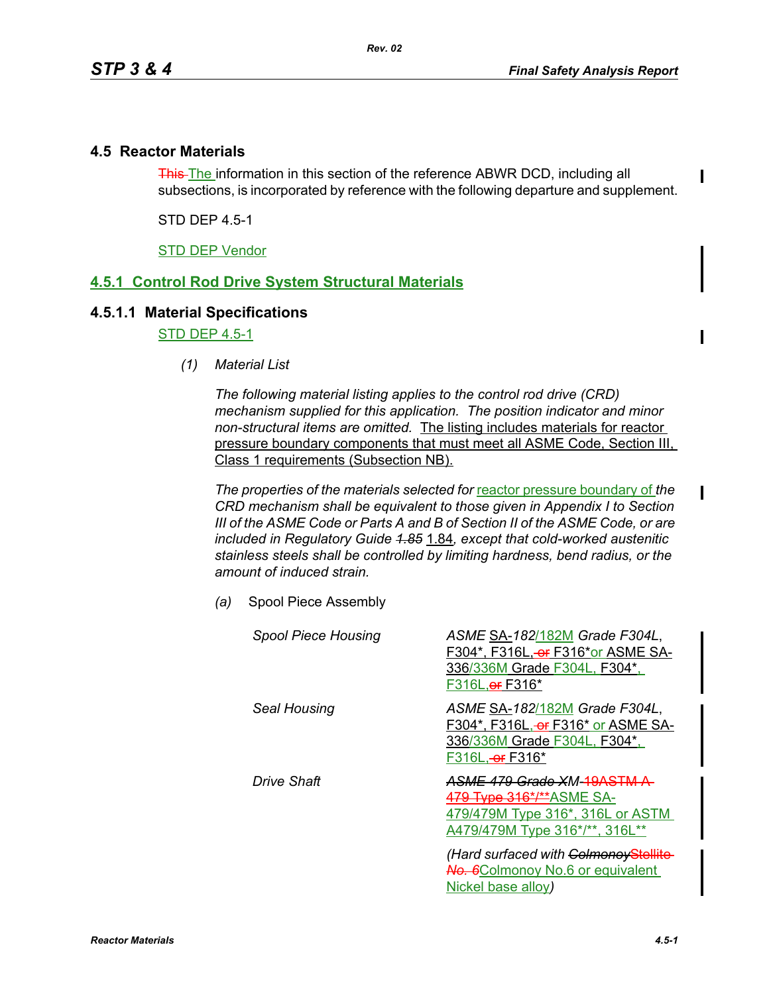## **4.5 Reactor Materials**

This The information in this section of the reference ABWR DCD, including all subsections, is incorporated by reference with the following departure and supplement.

STD DEP 4.5-1

STD DEP Vendor

## **4.5.1 Control Rod Drive System Structural Materials**

## **4.5.1.1 Material Specifications**

STD DEP 4.5-1

*(1) Material List*

*The following material listing applies to the control rod drive (CRD) mechanism supplied for this application. The position indicator and minor non-structural items are omitted.* The listing includes materials for reactor pressure boundary components that must meet all ASME Code, Section III, Class 1 requirements (Subsection NB).

The properties of the materials selected for reactor pressure boundary of the *CRD mechanism shall be equivalent to those given in Appendix I to Section III of the ASME Code or Parts A and B of Section II of the ASME Code, or are included in Regulatory Guide 1.85* 1.84*, except that cold-worked austenitic stainless steels shall be controlled by limiting hardness, bend radius, or the amount of induced strain.*

*(a)* Spool Piece Assembly

| <b>Spool Piece Housing</b> | ASME SA-182/182M Grade F304L,<br>F304*, F316L, or F316*or ASME SA-<br>336/336M Grade F304L, F304*,<br>F316L, or F316*             |
|----------------------------|-----------------------------------------------------------------------------------------------------------------------------------|
| Seal Housing               | ASME SA-182/182M Grade F304L,<br>F304*, F316L, <del>or</del> F316* or ASME SA-<br>336/336M Grade F304L, F304*,<br>F316L, or F316* |
| Drive Shaft                | <del>ASME 479 Grade X</del> M- <del>19ASTM A</del><br>479/479M Type 316*, 316L or ASTM<br>A479/479M Type 316*/**, 316L**          |
|                            | (Hard surfaced with ColmonoyStellite<br><b>No. 6</b> Colmonoy No.6 or equivalent<br>Nickel base alloy)                            |

П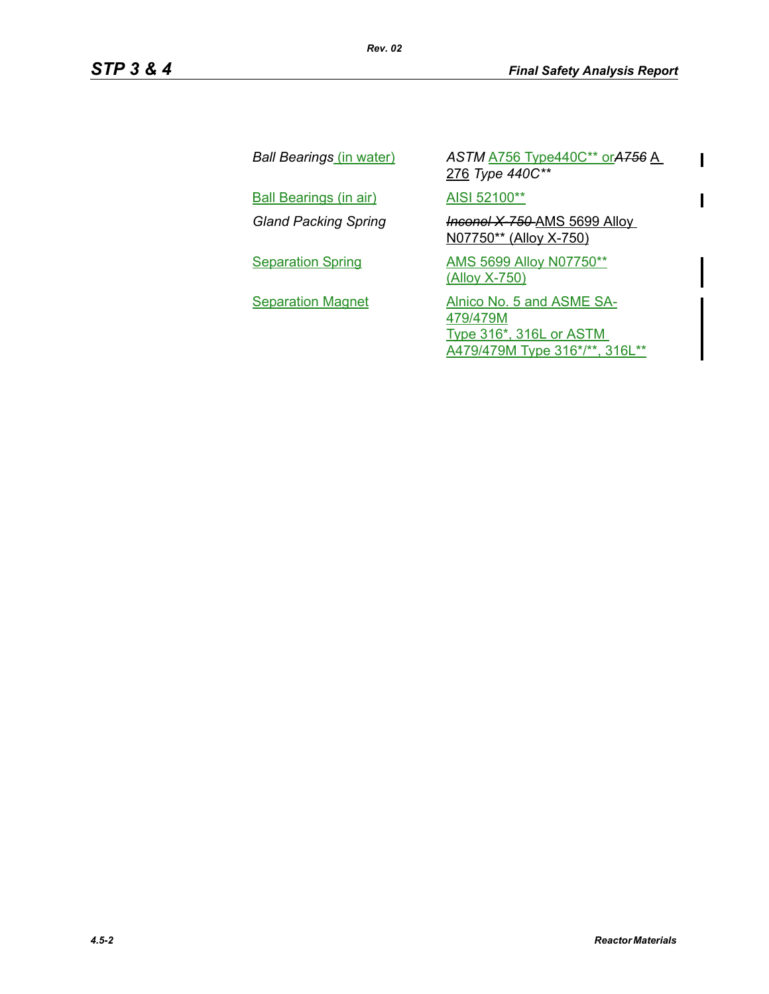$\overline{\mathbf{I}}$ 

 $\mathbf{I}$ 

| Ball Bearings (in water)      | ASTM <b>A756</b> Type440C** or A756 A<br>276 Type 440C**                                                  |
|-------------------------------|-----------------------------------------------------------------------------------------------------------|
| <b>Ball Bearings (in air)</b> | AISI 52100**                                                                                              |
| <b>Gland Packing Spring</b>   | <b>Inconel X 750 AMS 5699 Alloy</b><br>N07750** (Alloy X-750)                                             |
| <b>Separation Spring</b>      | AMS 5699 Alloy N07750**<br><u>(Alloy X-750)</u>                                                           |
| <b>Separation Magnet</b>      | Alnico No. 5 and ASME SA-<br>479/479M<br><b>Type 316*, 316L or ASTM</b><br>A479/479M Type 316*/**, 316L** |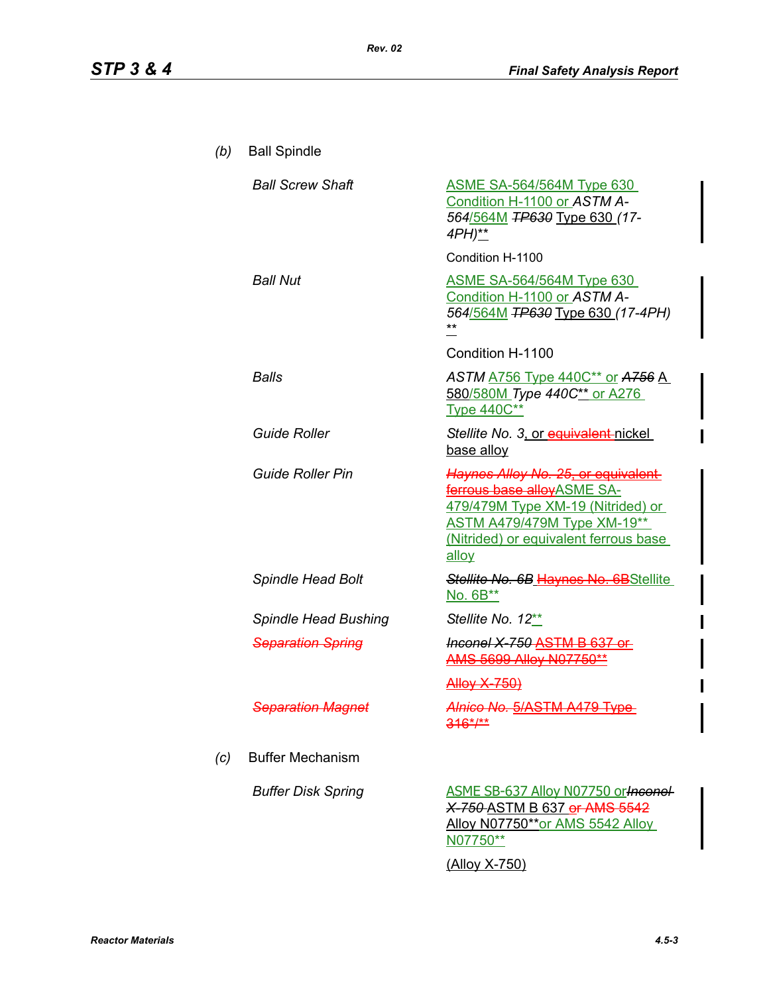| (b) | <b>Ball Spindle</b>         |                                                                                                                                                                                               |
|-----|-----------------------------|-----------------------------------------------------------------------------------------------------------------------------------------------------------------------------------------------|
|     | <b>Ball Screw Shaft</b>     | <b>ASME SA-564/564M Type 630</b><br>Condition H-1100 or ASTM A-<br>564/564M TP630 Type 630 (17-<br>4PH)**                                                                                     |
|     |                             | Condition H-1100                                                                                                                                                                              |
|     | <b>Ball Nut</b>             | <b>ASME SA-564/564M Type 630</b><br>Condition H-1100 or ASTM A-<br>564/564M TP630 Type 630 (17-4PH)                                                                                           |
|     |                             | Condition H-1100                                                                                                                                                                              |
|     | Balls                       | ASTM <b>A756</b> Type 440C** or A756 A<br>580/580M Type 440C** or A276<br><b>Type 440C**</b>                                                                                                  |
|     | <b>Guide Roller</b>         | Stellite No. 3. or equivalent-nickel<br>base alloy                                                                                                                                            |
|     | Guide Roller Pin            | Haynes Alloy No. 25, or equivalent<br>ferrous base alloyASME SA-<br>479/479M Type XM-19 (Nitrided) or<br><b>ASTM A479/479M Type XM-19**</b><br>(Nitrided) or equivalent ferrous base<br>alloy |
|     | <b>Spindle Head Bolt</b>    | Stellite No. 6B Haynes No. 6BStellite<br>No. 6B**                                                                                                                                             |
|     | <b>Spindle Head Bushing</b> | Stellite No. 12**                                                                                                                                                                             |
|     | <b>Separation Spring</b>    | Inconel X-750 ASTM B 637 or<br>AMS 5699 Alloy N07750**                                                                                                                                        |
|     |                             | <u>Alloy X-750)</u>                                                                                                                                                                           |
|     | Separation Magnet           | Alnico No. 5/ASTM A479 Type<br>$316^{*/**}$                                                                                                                                                   |
| (c) | <b>Buffer Mechanism</b>     |                                                                                                                                                                                               |
|     | <b>Buffer Disk Spring</b>   | <b>ASME SB-637 Alloy N07750 or Heronel-</b><br>X-750-ASTM B 637 or AMS-5542<br>Alloy N07750**or AMS 5542 Alloy<br>N07750**                                                                    |
|     |                             | <u>(Alloy X-750)</u>                                                                                                                                                                          |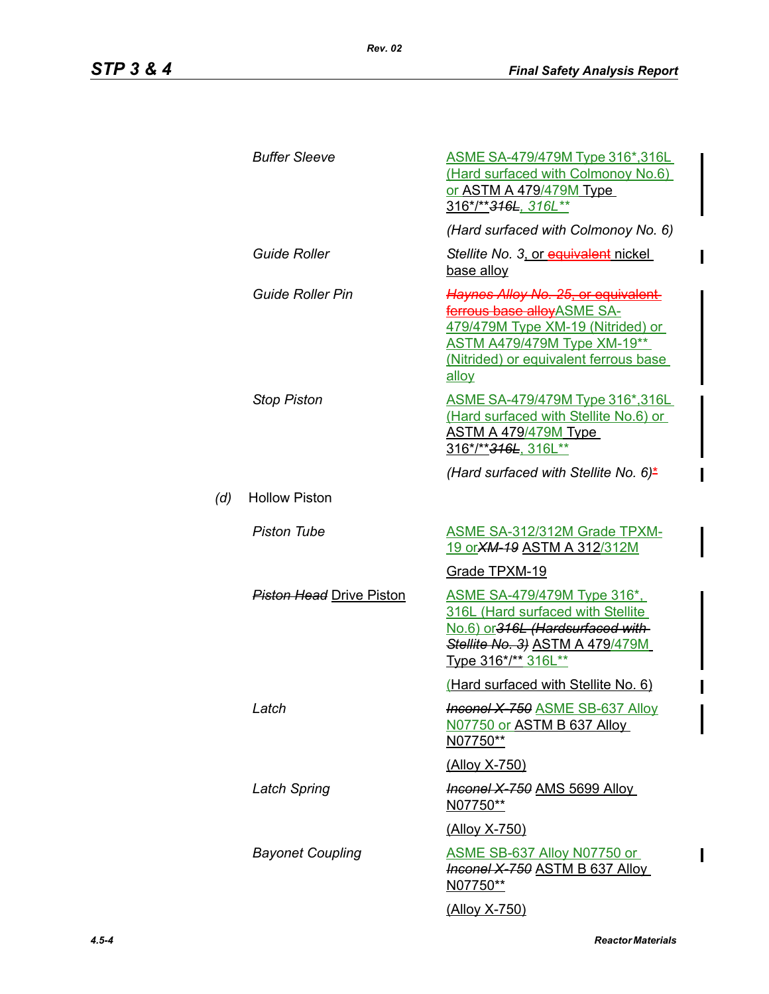*(d)* 

Ι

| <b>Buffer Sleeve</b>            | <u>ASME SA-479/479M Type 316*,316L</u><br>(Hard surfaced with Colmonoy No.6)<br>or ASTM A 479/479M Type<br>316*/** <del>316L</del> , 316L**                                                   |
|---------------------------------|-----------------------------------------------------------------------------------------------------------------------------------------------------------------------------------------------|
|                                 | (Hard surfaced with Colmonoy No. 6)                                                                                                                                                           |
| <b>Guide Roller</b>             | Stellite No. 3, or equivalent nickel<br>base alloy                                                                                                                                            |
| Guide Roller Pin                | Haynes Alloy No. 25, or equivalent<br>ferrous base alloyASME SA-<br>479/479M Type XM-19 (Nitrided) or<br><b>ASTM A479/479M Type XM-19**</b><br>(Nitrided) or equivalent ferrous base<br>allov |
| <b>Stop Piston</b>              | <u>ASME SA-479/479M Type 316*,316L</u><br>(Hard surfaced with Stellite No.6) or<br>ASTM A 479/479M Type<br>316*/**316L, 316L**                                                                |
|                                 | (Hard surfaced with Stellite No. 6)*                                                                                                                                                          |
| <b>Hollow Piston</b>            |                                                                                                                                                                                               |
| <b>Piston Tube</b>              | ASME SA-312/312M Grade TPXM-<br>19 or XM-19 ASTM A 312/312M                                                                                                                                   |
|                                 | Grade TPXM-19                                                                                                                                                                                 |
| <b>Piston Head Drive Piston</b> | <u>ASME SA-479/479M Type 316*.</u><br>316L (Hard surfaced with Stellite<br>No.6) or 316L (Hardsurfaced with-<br>Stellite No. 3) ASTM A 479/479M<br>Type 316*/** 316L**                        |
|                                 | (Hard surfaced with Stellite No. 6)                                                                                                                                                           |
| Latch                           | <b>Inconel X-750 ASME SB-637 Alloy</b><br>N07750 or ASTM B 637 Alloy<br>N07750**                                                                                                              |
|                                 | <u>(Alloy X-750)</u>                                                                                                                                                                          |
| <b>Latch Spring</b>             | <b>Inconel X-750 AMS 5699 Alloy</b><br>N07750**                                                                                                                                               |
|                                 | (Alloy X-750)                                                                                                                                                                                 |
| <b>Bayonet Coupling</b>         | ASME SB-637 Alloy N07750 or<br>Inconel X 750 ASTM B 637 Alloy<br>N07750**                                                                                                                     |
|                                 | <u>(Alloy X-750)</u>                                                                                                                                                                          |

 $\overline{\phantom{a}}$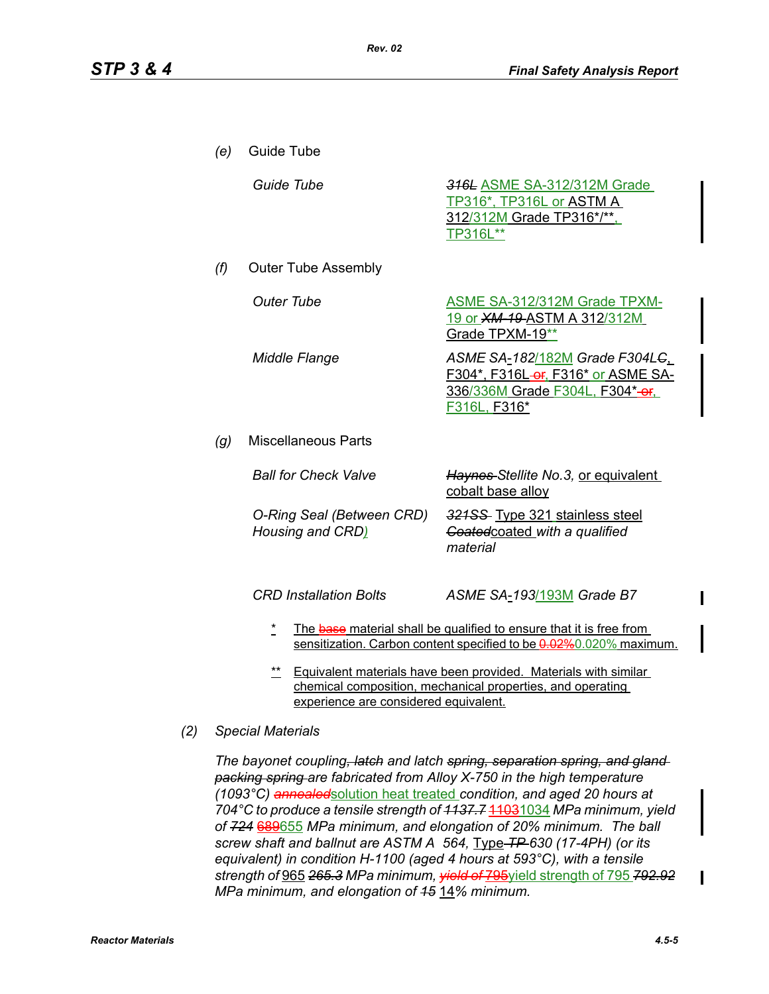| (e) | Guide Tube                                    |                                                                                                                                           |
|-----|-----------------------------------------------|-------------------------------------------------------------------------------------------------------------------------------------------|
|     | Guide Tube                                    | 316L ASME SA-312/312M Grade<br>TP316*, TP316L or ASTM A<br>312/312M Grade TP316*/**.<br>TP316L**                                          |
| (f) | <b>Outer Tube Assembly</b>                    |                                                                                                                                           |
|     | <b>Outer Tube</b>                             | <b>ASME SA-312/312M Grade TPXM-</b><br><u>19 or XM-19-ASTM A 312/312M</u><br>Grade TPXM-19**                                              |
|     | <b>Middle Flange</b>                          | ASME SA-182/182M Grade F304LG<br>F304*, F316L-er, F316* or ASME SA-<br>336/336M Grade F304L, F304*-or.<br>F316L, F316*                    |
| (g) | <b>Miscellaneous Parts</b>                    |                                                                                                                                           |
|     | <b>Ball for Check Valve</b>                   | Haynes-Stellite No.3, or equivalent<br>cobalt base alloy                                                                                  |
|     | O-Ring Seal (Between CRD)<br>Housing and CRD) | 321SS- Type 321 stainless steel<br>Goatedcoated with a qualified<br>material                                                              |
|     | <b>CRD Installation Bolts</b>                 | ASME SA-193/193M Grade B7                                                                                                                 |
|     | *                                             | The base material shall be qualified to ensure that it is free from<br>sensitization. Carbon content specified to be 0.02%0.020% maximum. |

\*\* Equivalent materials have been provided. Materials with similar chemical composition, mechanical properties, and operating experience are considered equivalent.

#### *(2) Special Materials*

*The bayonet coupling, latch and latch spring, separation spring, and gland packing spring are fabricated from Alloy X-750 in the high temperature (1093°C) annealed*solution heat treated *condition, and aged 20 hours at 704°C to produce a tensile strength of 1137.7* 11031034 *MPa minimum, yield of 724* 689655 *MPa minimum, and elongation of 20% minimum. The ball screw shaft and ballnut are ASTM A 564,* Type *TP 630 (17-4PH) (or its equivalent) in condition H-1100 (aged 4 hours at 593°C), with a tensile strength of* 965 *265.3 MPa minimum, yield of* 795yield strength of 795 *792.92 MPa minimum, and elongation of 15* 14*% minimum.*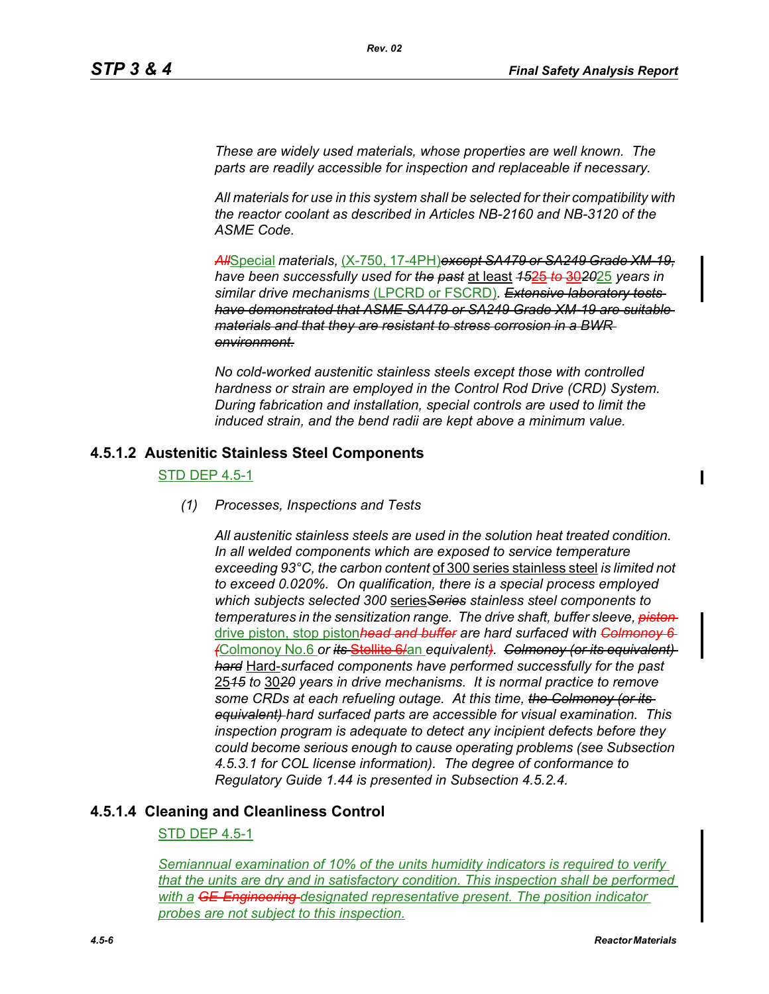*These are widely used materials, whose properties are well known. The parts are readily accessible for inspection and replaceable if necessary.*

*Rev. 02*

*All materials for use in this system shall be selected for their compatibility with the reactor coolant as described in Articles NB-2160 and NB-3120 of the ASME Code.*

*All*Special *materials,* (X-750, 17-4PH)*except SA479 or SA249 Grade XM-19, have been successfully used for the past* at least *15*25 *to* 30*20*25 *years in similar drive mechanisms* (LPCRD or FSCRD)*. Extensive laboratory tests have demonstrated that ASME SA479 or SA249 Grade XM-19 are suitable materials and that they are resistant to stress corrosion in a BWR environment.*

*No cold-worked austenitic stainless steels except those with controlled hardness or strain are employed in the Control Rod Drive (CRD) System. During fabrication and installation, special controls are used to limit the induced strain, and the bend radii are kept above a minimum value.*

## **4.5.1.2 Austenitic Stainless Steel Components**

STD DEP 4.5-1

#### *(1) Processes, Inspections and Tests*

*All austenitic stainless steels are used in the solution heat treated condition. In all welded components which are exposed to service temperature exceeding 93°C, the carbon content* of 300 series stainless steel *is limited not to exceed 0.020%. On qualification, there is a special process employed which subjects selected 300* series*Series stainless steel components to temperatures in the sensitization range. The drive shaft, buffer sleeve, piston*  drive piston, stop piston*head and buffer are hard surfaced with Colmonoy 6 (*Colmonoy No.6 *or its* Stellite 6/an *equivalent). Colmonoy (or its equivalent) hard* Hard-*surfaced components have performed successfully for the past* 25*15 to* 30*20 years in drive mechanisms. It is normal practice to remove some CRDs at each refueling outage. At this time, the Colmonoy (or its equivalent) hard surfaced parts are accessible for visual examination. This inspection program is adequate to detect any incipient defects before they could become serious enough to cause operating problems (see Subsection 4.5.3.1 for COL license information). The degree of conformance to Regulatory Guide 1.44 is presented in Subsection 4.5.2.4.*

## **4.5.1.4 Cleaning and Cleanliness Control**

#### STD DEP 4.5-1

*Semiannual examination of 10% of the units humidity indicators is required to verify that the units are dry and in satisfactory condition. This inspection shall be performed with a GE-Engineering designated representative present. The position indicator probes are not subject to this inspection.*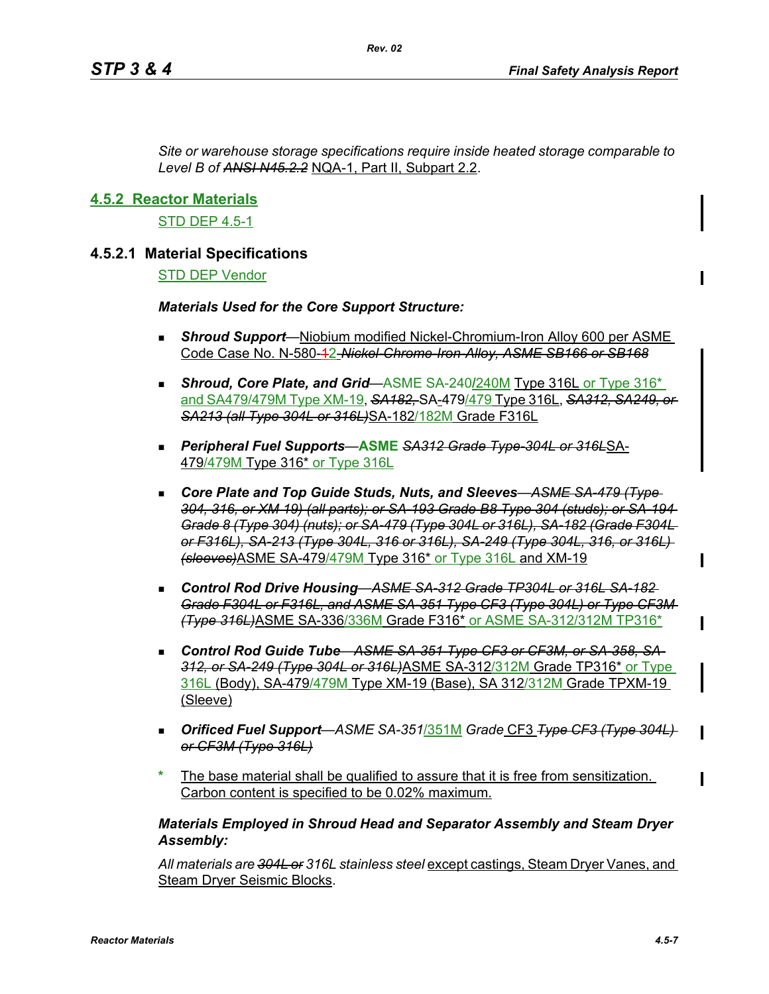*Site or warehouse storage specifications require inside heated storage comparable to Level B of ANSI N45.2.2* NQA-1, Part II, Subpart 2.2.

## **4.5.2 Reactor Materials**

STD DEP 4.5-1

## **4.5.2.1 Material Specifications**

#### STD DEP Vendor

#### *Materials Used for the Core Support Structure:*

- *Shroud Support*—Niobium modified Nickel-Chromium-Iron Alloy 600 per ASME Code Case No. N-580-12-*Nickel-Chrome-Iron-Alloy, ASME SB166 or SB168*
- **Shroud, Core Plate, and Grid**—ASME SA-240/240M Type 316L or Type 316<sup>\*</sup> and SA479/479M Type XM-19, *SA182,* SA-479/479 Type 316L, *SA312, SA249, or SA213 (all Type 304L or 316L)*SA-182/182M Grade F316L
- *Peripheral Fuel Supports*—**ASME** *SA312 Grade Type-304L or 316L*SA-479/479M Type 316\* or Type 316L
- Core Plate and Top Guide Studs, Nuts, and Sleeves– ASME SA 479 (Type-*304, 316, or XM 19) (all parts); or SA-193 Grade B8 Type 304 (studs); or SA-194 Grade 8 (Type 304) (nuts); or SA-479 (Type 304L or 316L), SA-182 (Grade F304L or F316L), SA-213 (Type 304L, 316 or 316L), SA-249 (Type 304L, 316, or 316L) (sleeves)*ASME SA-479/479M Type 316\* or Type 316L and XM-19
- *Control Rod Drive Housing*—*ASME SA-312 Grade TP304L or 316L SA-182 Grade F304L or F316L, and ASME SA-351 Type CF3 (Type 304L) or Type CF3M (Type 316L)*ASME SA-336/336M Grade F316\* or ASME SA-312/312M TP316\*
- Control Rod Guide Tube—ASME SA 351 Type CF3 or CF3M, or SA 358, SA-*312, or SA-249 (Type 304L or 316L)*ASME SA-312/312M Grade TP316\* or Type 316L (Body), SA-479/479M Type XM-19 (Base), SA 312/312M Grade TPXM-19 (Sleeve)
- *Orificed Fuel Support*—*ASME SA-351*/351M *Grade* CF3 *Type CF3 (Type 304L) or CF3M (Type 316L)*
- The base material shall be qualified to assure that it is free from sensitization. Carbon content is specified to be 0.02% maximum.

## *Materials Employed in Shroud Head and Separator Assembly and Steam Dryer Assembly:*

*All materials are 304L or 316L stainless steel* except castings, Steam Dryer Vanes, and Steam Dryer Seismic Blocks.

 $\mathbf I$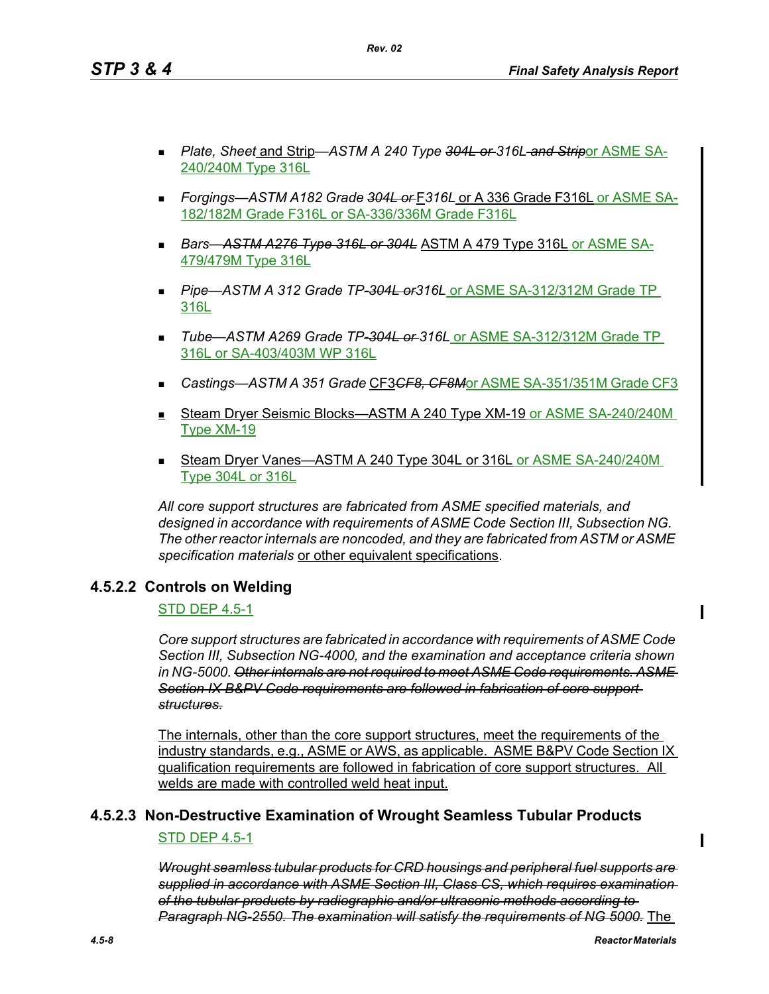- *Plate, Sheet* and Strip—*ASTM A 240 Type 304L or 316L and Strip*or ASME SA-240/240M Type 316L
- *Forgings—ASTM A182 Grade 304L or* F*316L* or A 336 Grade F316L or ASME SA-182/182M Grade F316L or SA-336/336M Grade F316L
- *Bars*—*ASTM A276 Type 316L or 304L* ASTM A 479 Type 316L or ASME SA-479/479M Type 316L
- *Pipe*—*ASTM A 312 Grade TP-304L or316L* or ASME SA-312/312M Grade TP 316L
- *Tube*—*ASTM A269 Grade TP-304L or 316L* or ASME SA-312/312M Grade TP 316L or SA-403/403M WP 316L
- *Castings—ASTM A 351 Grade* CF3*CF8, CF8M*or ASME SA-351/351M Grade CF3
- Steam Dryer Seismic Blocks—ASTM A 240 Type XM-19 or ASME SA-240/240M Type XM-19
- Steam Dryer Vanes—ASTM A 240 Type 304L or 316L or ASME SA-240/240M Type 304L or 316L

*All core support structures are fabricated from ASME specified materials, and designed in accordance with requirements of ASME Code Section III, Subsection NG. The other reactor internals are noncoded, and they are fabricated from ASTM or ASME specification materials* or other equivalent specifications.

## **4.5.2.2 Controls on Welding**

## STD DEP 4.5-1

*Core support structures are fabricated in accordance with requirements of ASME Code Section III, Subsection NG-4000, and the examination and acceptance criteria shown in NG-5000. Other internals are not required to meet ASME Code requirements. ASME Section IX B&PV Code requirements are followed in fabrication of core support structures.*

The internals, other than the core support structures, meet the requirements of the industry standards, e.g., ASME or AWS, as applicable. ASME B&PV Code Section IX qualification requirements are followed in fabrication of core support structures. All welds are made with controlled weld heat input.

# **4.5.2.3 Non-Destructive Examination of Wrought Seamless Tubular Products** STD DEP 4.5-1

*Wrought seamless tubular products for CRD housings and peripheral fuel supports are supplied in accordance with ASME Section III, Class CS, which requires examination of the tubular products by radiographic and/or ultrasonic methods according to Paragraph NG-2550. The examination will satisfy the requirements of NG 5000.* The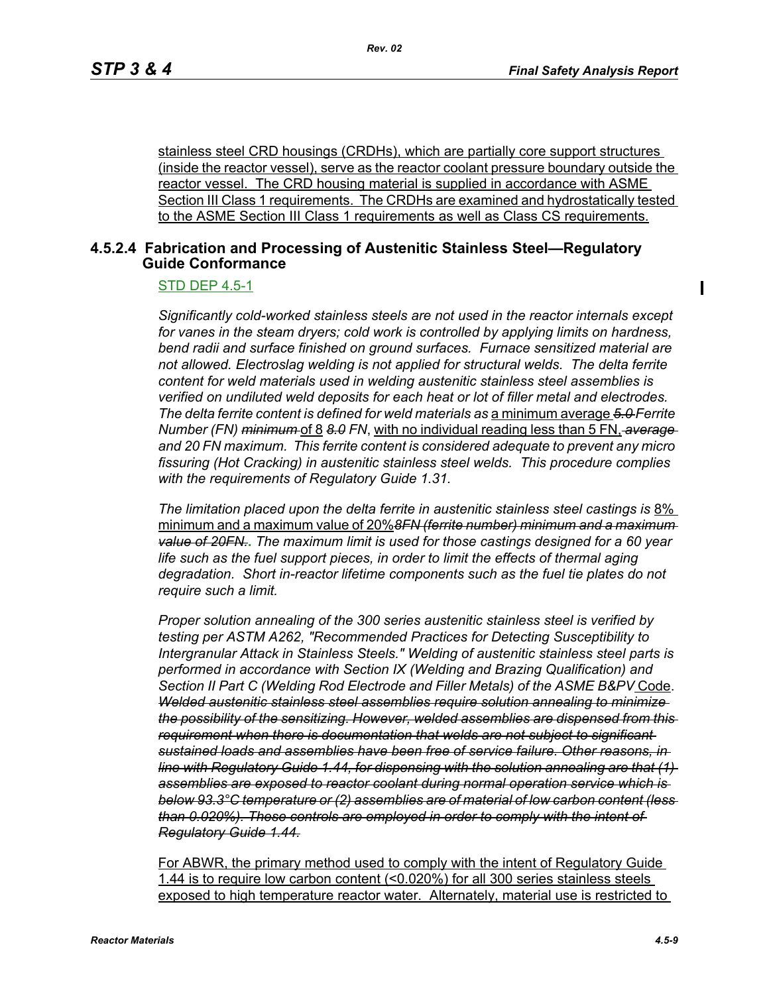$\blacksquare$ 

stainless steel CRD housings (CRDHs), which are partially core support structures (inside the reactor vessel), serve as the reactor coolant pressure boundary outside the reactor vessel. The CRD housing material is supplied in accordance with ASME Section III Class 1 requirements. The CRDHs are examined and hydrostatically tested to the ASME Section III Class 1 requirements as well as Class CS requirements.

## **4.5.2.4 Fabrication and Processing of Austenitic Stainless Steel—Regulatory Guide Conformance**

#### STD DEP 4.5-1

*Significantly cold-worked stainless steels are not used in the reactor internals except for vanes in the steam dryers; cold work is controlled by applying limits on hardness, bend radii and surface finished on ground surfaces. Furnace sensitized material are not allowed. Electroslag welding is not applied for structural welds. The delta ferrite content for weld materials used in welding austenitic stainless steel assemblies is verified on undiluted weld deposits for each heat or lot of filler metal and electrodes. The delta ferrite content is defined for weld materials as* a minimum average *5.0 Ferrite Number (FN) minimum* of 8 *8.0 FN*, with no individual reading less than 5 FN, *average and 20 FN maximum. This ferrite content is considered adequate to prevent any micro fissuring (Hot Cracking) in austenitic stainless steel welds. This procedure complies with the requirements of Regulatory Guide 1.31.*

*The limitation placed upon the delta ferrite in austenitic stainless steel castings is* 8% minimum and a maximum value of 20%*8FN (ferrite number) minimum and a maximum value of 20FN.***.** *The maximum limit is used for those castings designed for a 60 year life such as the fuel support pieces, in order to limit the effects of thermal aging degradation. Short in-reactor lifetime components such as the fuel tie plates do not require such a limit.*

*Proper solution annealing of the 300 series austenitic stainless steel is verified by testing per ASTM A262, "Recommended Practices for Detecting Susceptibility to Intergranular Attack in Stainless Steels." Welding of austenitic stainless steel parts is performed in accordance with Section IX (Welding and Brazing Qualification) and Section II Part C (Welding Rod Electrode and Filler Metals) of the ASME B&PV* Code. *Welded austenitic stainless steel assemblies require solution annealing to minimize the possibility of the sensitizing. However, welded assemblies are dispensed from this requirement when there is documentation that welds are not subject to significant sustained loads and assemblies have been free of service failure. Other reasons, in line with Regulatory Guide 1.44, for dispensing with the solution annealing are that (1) assemblies are exposed to reactor coolant during normal operation service which is below 93.3°C temperature or (2) assemblies are of material of low carbon content (less than 0.020%). These controls are employed in order to comply with the intent of Regulatory Guide 1.44.*

For ABWR, the primary method used to comply with the intent of Regulatory Guide 1.44 is to require low carbon content (<0.020%) for all 300 series stainless steels exposed to high temperature reactor water. Alternately, material use is restricted to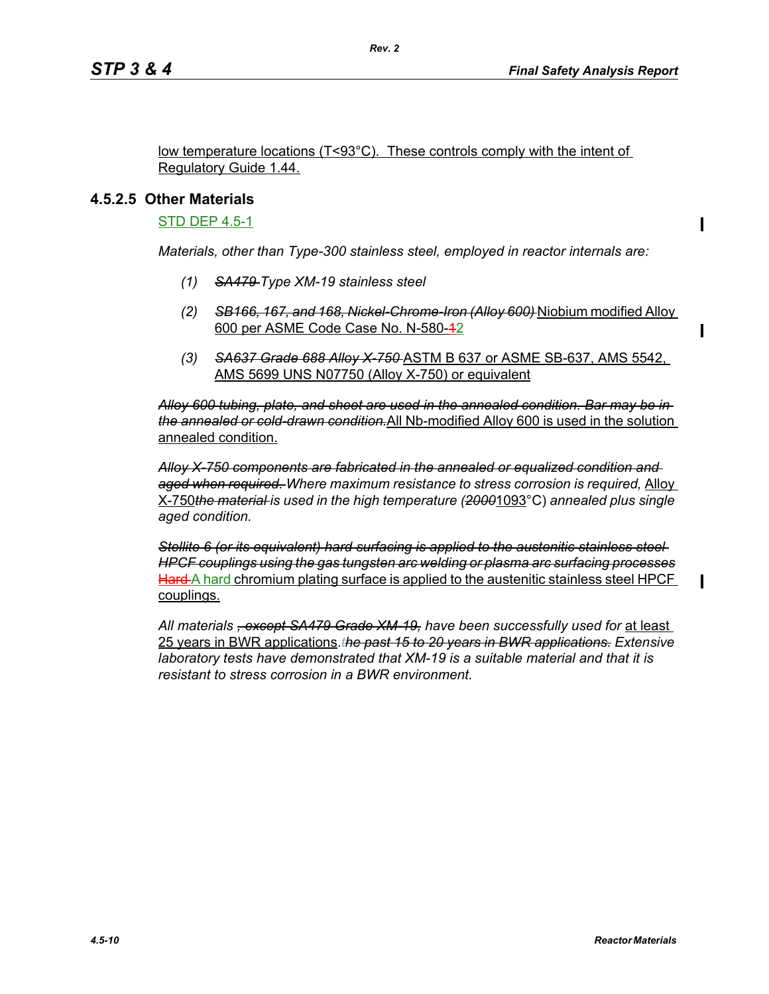Π

low temperature locations (T<93°C). These controls comply with the intent of Regulatory Guide 1.44.

*Rev. 2*

## **4.5.2.5 Other Materials**

STD DEP 4.5-1

*Materials, other than Type-300 stainless steel, employed in reactor internals are:*

- *(1) SA479 Type XM-19 stainless steel*
- *(2) SB166, 167, and 168, Nickel-Chrome-Iron (Alloy 600)* Niobium modified Alloy 600 per ASME Code Case No. N-580-42
- *(3) SA637 Grade 688 Alloy X-750* ASTM B 637 or ASME SB-637, AMS 5542, AMS 5699 UNS N07750 (Alloy X-750) or equivalent

*Alloy 600 tubing, plate, and sheet are used in the annealed condition. Bar may be in the annealed or cold-drawn condition.*All Nb-modified Alloy 600 is used in the solution annealed condition.

*Alloy X-750 components are fabricated in the annealed or equalized condition and aged when required. Where maximum resistance to stress corrosion is required,* Alloy X-750*the material is used in the high temperature (2000*1093°C) *annealed plus single aged condition.*

*Stellite 6 (or its equivalent) hard surfacing is applied to the austenitic stainless steel HPCF couplings using the gas tungsten arc welding or plasma arc surfacing processes* Hard A hard chromium plating surface is applied to the austenitic stainless steel HPCF couplings.

*All materials , except SA479 Grade XM-19, have been successfully used for* at least 25 years in BWR applications.*the past 15 to 20 years in BWR applications. Extensive laboratory tests have demonstrated that XM-19 is a suitable material and that it is resistant to stress corrosion in a BWR environment.*